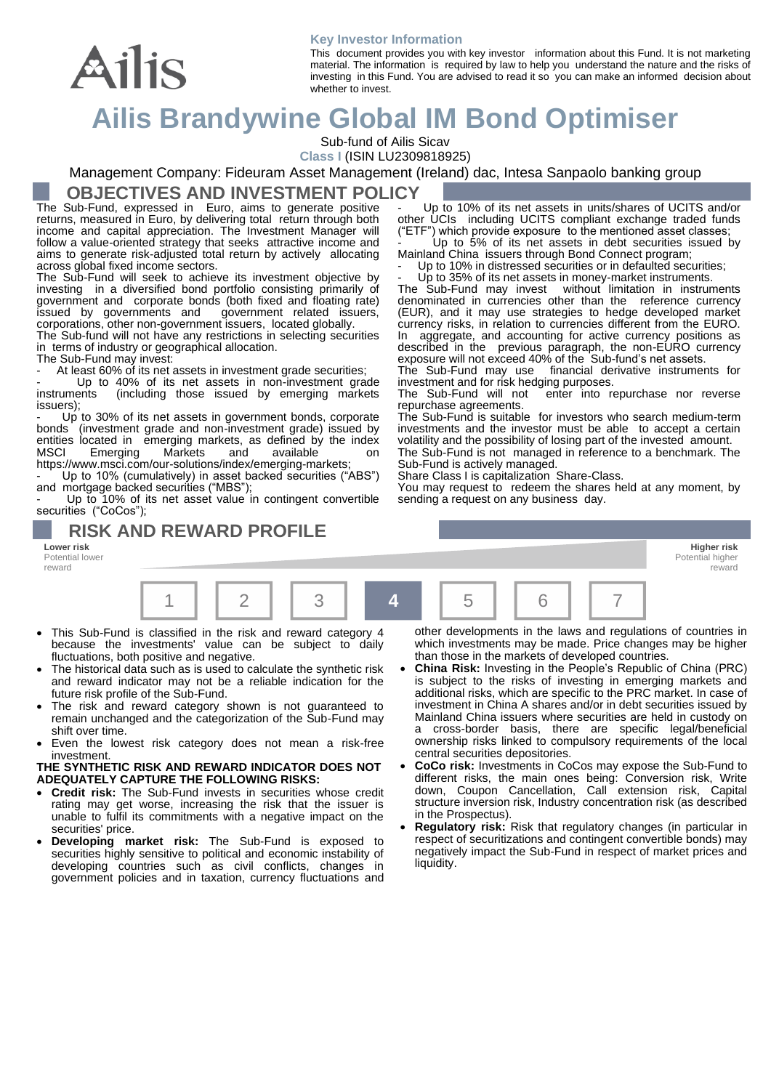#### **Key Investor Information**

This document provides you with key investor information about this Fund. It is not marketing material. The information is required by law to help you understand the nature and the risks of investing in this Fund. You are advised to read it so you can make an informed decision about whether to invest.

# **Ailis Brandywine Global IM Bond Optimiser**

Sub-fund of Ailis Sicav

**Class I** (ISIN LU2309818925)

Management Company: Fideuram Asset Management (Ireland) dac, Intesa Sanpaolo banking group

#### **OBJECTIVES AND INVESTMENT POLICY**

The Sub-Fund, expressed in Euro, aims to generate positive returns, measured in Euro, by delivering total return through both income and capital appreciation. The Investment Manager will follow a value-oriented strategy that seeks attractive income and aims to generate risk-adjusted total return by actively allocating across global fixed income sectors.

The Sub-Fund will seek to achieve its investment objective by investing in a diversified bond portfolio consisting primarily of government and corporate bonds (both fixed and floating rate) issued by governments and government related issuers, corporations, other non-government issuers, located globally.

The Sub-fund will not have any restrictions in selecting securities in terms of industry or geographical allocation.

The Sub-Fund may invest:

Ailis

At least 60% of its net assets in investment grade securities;

- Up to 40% of its net assets in non-investment grade instruments (including those issued by emerging markets (including those issued by emerging markets issuers);

- Up to 30% of its net assets in government bonds, corporate bonds (investment grade and non-investment grade) issued by (investment grade and non-investment grade) issued by entities located in emerging markets, as defined by the index<br>MSCI Emerging Markets and available on Emerging Markets and available on https://www.msci.com/our-solutions/index/emerging-markets;

Up to 10% (cumulatively) in asset backed securities ("ABS") and mortgage backed securities ("MBS");

Up to 10% of its net asset value in contingent convertible securities ("CoCos");

**RISK AND REWARD PROFILE** 

**Lower risk Higher risk** Potential lower reward



- This Sub-Fund is classified in the risk and reward category 4 because the investments' value can be subject to daily fluctuations, both positive and negative.
- The historical data such as is used to calculate the synthetic risk and reward indicator may not be a reliable indication for the future risk profile of the Sub-Fund.
- The risk and reward category shown is not guaranteed to remain unchanged and the categorization of the Sub-Fund may shift over time.
- Even the lowest risk category does not mean a risk-free investment.

#### **THE SYNTHETIC RISK AND REWARD INDICATOR DOES NOT ADEQUATELY CAPTURE THE FOLLOWING RISKS:**

- **Credit risk:** The Sub-Fund invests in securities whose credit rating may get worse, increasing the risk that the issuer is unable to fulfil its commitments with a negative impact on the securities' price.
- **Developing market risk:** The Sub-Fund is exposed to securities highly sensitive to political and economic instability of developing countries such as civil conflicts, changes in government policies and in taxation, currency fluctuations and

other developments in the laws and regulations of countries in which investments may be made. Price changes may be higher than those in the markets of developed countries.

Potential highe reward

- **China Risk:** Investing in the People's Republic of China (PRC) is subject to the risks of investing in emerging markets and additional risks, which are specific to the PRC market. In case of investment in China A shares and/or in debt securities issued by Mainland China issuers where securities are held in custody on a cross-border basis, there are specific legal/beneficial ownership risks linked to compulsory requirements of the local central securities depositories.
- **CoCo risk:** Investments in CoCos may expose the Sub-Fund to different risks, the main ones being: Conversion risk, Write down, Coupon Cancellation, Call extension risk, Capital structure inversion risk, Industry concentration risk (as described in the Prospectus).
- **Regulatory risk:** Risk that regulatory changes (in particular in respect of securitizations and contingent convertible bonds) may negatively impact the Sub-Fund in respect of market prices and liquidity.

Up to 10% of its net assets in units/shares of UCITS and/or other UCIs including UCITS compliant exchange traded funds ("ETF") which provide exposure to the mentioned asset classes;  $^{\prime})$  which provide exposure  $\,$  to the mentioned asset classes;

Up to 5% of its net assets in debt securities issued by Mainland China issuers through Bond Connect program;

Up to 10% in distressed securities or in defaulted securities:

- Up to 35% of its net assets in money-market instruments.<br>The Sub-Fund may invest without limitation in instrun without limitation in instruments denominated in currencies other than the reference currency (EUR), and it may use strategies to hedge developed market currency risks, in relation to currencies different from the EURO. In aggregate, and accounting for active currency positions as described in the previous paragraph, the non-EURO currency exposure will not exceed 40% of the Sub-fund's net assets.

financial derivative instruments for investment and for risk hedging purposes.<br>The Sub-Fund will not enter into re

enter into repurchase nor reverse repurchase agreements.

The Sub-Fund is suitable for investors who search medium-term investments and the investor must be able to accept a certain volatility and the possibility of losing part of the invested amount. The Sub-Fund is not managed in reference to a benchmark. The

Sub-Fund is actively managed.

Share Class I is capitalization Share-Class.

You may request to redeem the shares held at any moment, by sending a request on any business day.